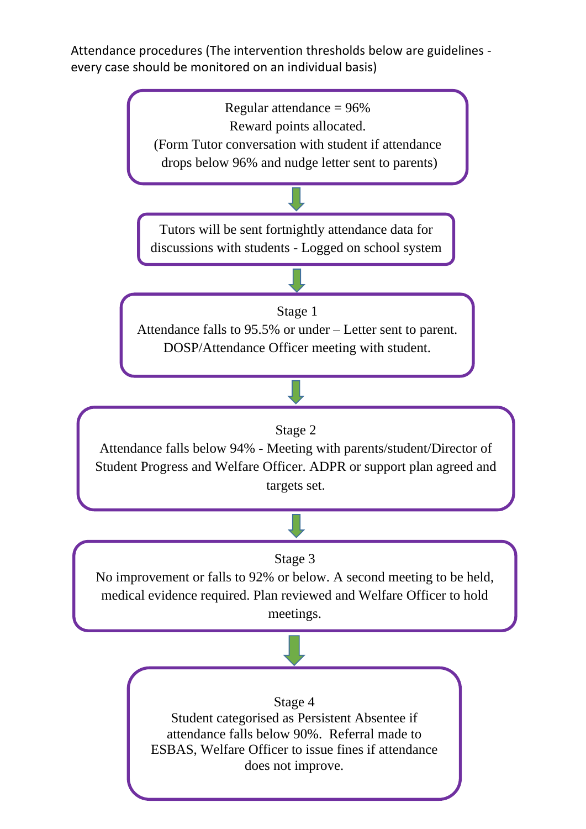Attendance procedures (The intervention thresholds below are guidelines every case should be monitored on an individual basis)

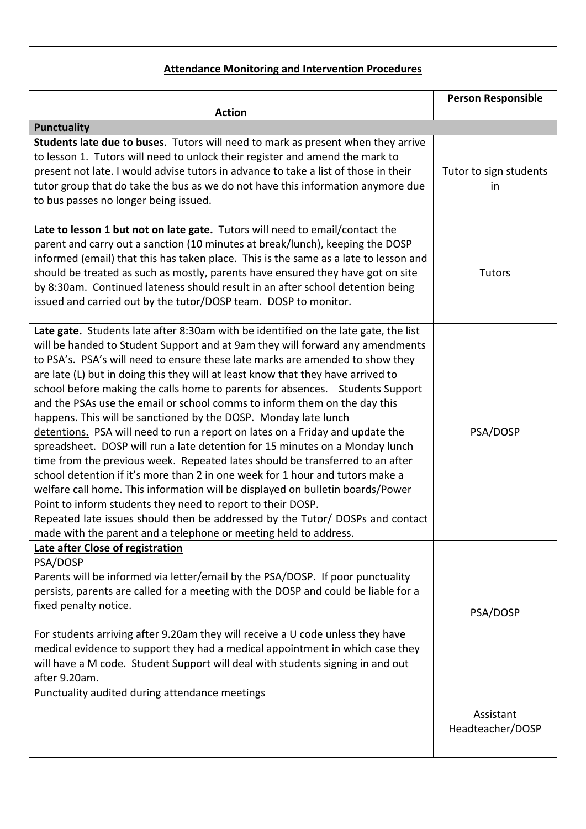## **Attendance Monitoring and Intervention Procedures**

|                                                                                                                                                                                                                                                                                                                                                                                                                                                                                                                                                                                                                                                                                                                                                                                                                                                                                                                                                                                                                                                                                                                                                                                                                     | <b>Person Responsible</b>     |
|---------------------------------------------------------------------------------------------------------------------------------------------------------------------------------------------------------------------------------------------------------------------------------------------------------------------------------------------------------------------------------------------------------------------------------------------------------------------------------------------------------------------------------------------------------------------------------------------------------------------------------------------------------------------------------------------------------------------------------------------------------------------------------------------------------------------------------------------------------------------------------------------------------------------------------------------------------------------------------------------------------------------------------------------------------------------------------------------------------------------------------------------------------------------------------------------------------------------|-------------------------------|
| <b>Action</b><br><b>Punctuality</b>                                                                                                                                                                                                                                                                                                                                                                                                                                                                                                                                                                                                                                                                                                                                                                                                                                                                                                                                                                                                                                                                                                                                                                                 |                               |
| Students late due to buses. Tutors will need to mark as present when they arrive<br>to lesson 1. Tutors will need to unlock their register and amend the mark to<br>present not late. I would advise tutors in advance to take a list of those in their<br>tutor group that do take the bus as we do not have this information anymore due<br>to bus passes no longer being issued.                                                                                                                                                                                                                                                                                                                                                                                                                                                                                                                                                                                                                                                                                                                                                                                                                                 | Tutor to sign students<br>in  |
| Late to lesson 1 but not on late gate. Tutors will need to email/contact the<br>parent and carry out a sanction (10 minutes at break/lunch), keeping the DOSP<br>informed (email) that this has taken place. This is the same as a late to lesson and<br>should be treated as such as mostly, parents have ensured they have got on site<br>by 8:30am. Continued lateness should result in an after school detention being<br>issued and carried out by the tutor/DOSP team. DOSP to monitor.                                                                                                                                                                                                                                                                                                                                                                                                                                                                                                                                                                                                                                                                                                                       | Tutors                        |
| Late gate. Students late after 8:30am with be identified on the late gate, the list<br>will be handed to Student Support and at 9am they will forward any amendments<br>to PSA's. PSA's will need to ensure these late marks are amended to show they<br>are late (L) but in doing this they will at least know that they have arrived to<br>school before making the calls home to parents for absences. Students Support<br>and the PSAs use the email or school comms to inform them on the day this<br>happens. This will be sanctioned by the DOSP. Monday late lunch<br>detentions. PSA will need to run a report on lates on a Friday and update the<br>spreadsheet. DOSP will run a late detention for 15 minutes on a Monday lunch<br>time from the previous week. Repeated lates should be transferred to an after<br>school detention if it's more than 2 in one week for 1 hour and tutors make a<br>welfare call home. This information will be displayed on bulletin boards/Power<br>Point to inform students they need to report to their DOSP.<br>Repeated late issues should then be addressed by the Tutor/ DOSPs and contact<br>made with the parent and a telephone or meeting held to address. | PSA/DOSP                      |
| Late after Close of registration<br>PSA/DOSP<br>Parents will be informed via letter/email by the PSA/DOSP. If poor punctuality<br>persists, parents are called for a meeting with the DOSP and could be liable for a<br>fixed penalty notice.<br>For students arriving after 9.20am they will receive a U code unless they have<br>medical evidence to support they had a medical appointment in which case they<br>will have a M code. Student Support will deal with students signing in and out<br>after 9.20am.                                                                                                                                                                                                                                                                                                                                                                                                                                                                                                                                                                                                                                                                                                 | PSA/DOSP                      |
| Punctuality audited during attendance meetings                                                                                                                                                                                                                                                                                                                                                                                                                                                                                                                                                                                                                                                                                                                                                                                                                                                                                                                                                                                                                                                                                                                                                                      | Assistant<br>Headteacher/DOSP |